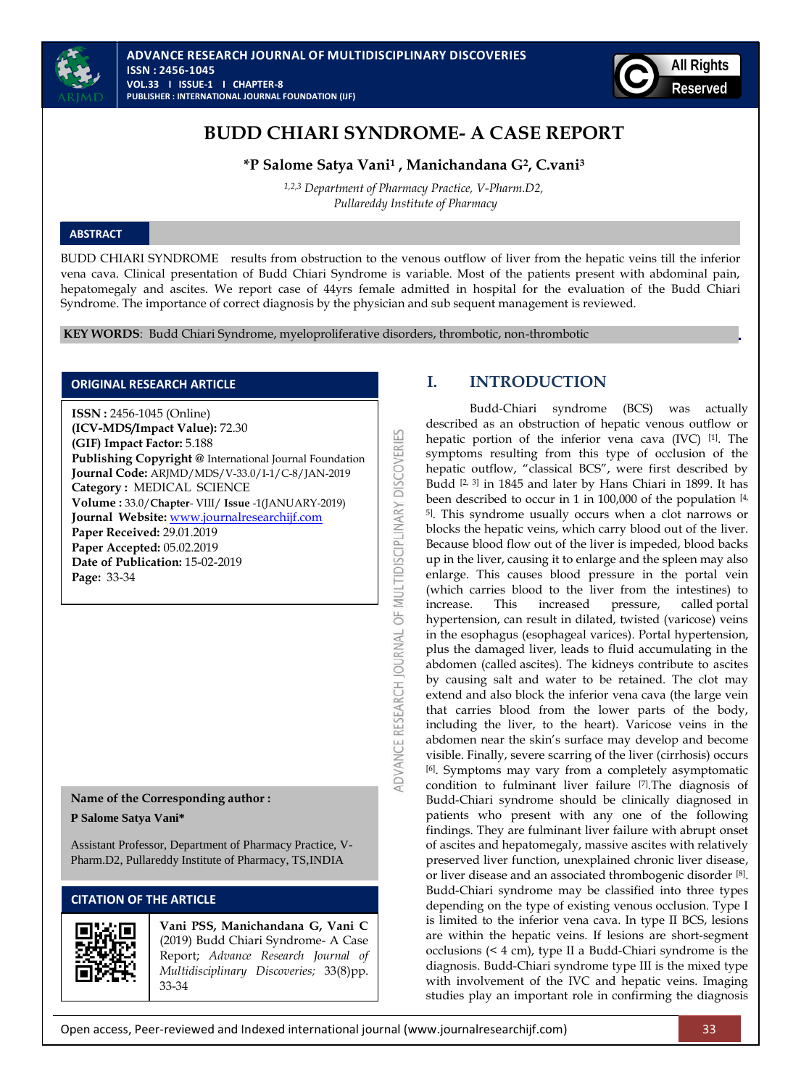



# **BUDD CHIARI SYNDROME- A CASE REPORT**

**\*P Salome Satya Vani<sup>1</sup> , Manichandana G2, C.vani<sup>3</sup>**

*1,2,3 Department of Pharmacy Practice, V-Pharm.D2, Pullareddy Institute of Pharmacy*

### **ABSTRACT**

BUDD CHIARI SYNDROME results from obstruction to the venous outflow of liver from the hepatic veins till the inferior vena cava. Clinical presentation of Budd Chiari Syndrome is variable. Most of the patients present with abdominal pain, hepatomegaly and ascites. We report case of 44yrs female admitted in hospital for the evaluation of the Budd Chiari Syndrome. The importance of correct diagnosis by the physician and sub sequent management is reviewed.

OF MULTIDISCIPLINARY DISCOVERIES

**IDVANCE RESEARCH JOURNAL** 

**KEY WORDS**: Budd Chiari Syndrome, myeloproliferative disorders, thrombotic, non-thrombotic

#### **ORIGINAL RESEARCH ARTICLE**

**ISSN :** 2456-1045 (Online) **(ICV-MDS/Impact Value):** 72.30 **(GIF) Impact Factor:** 5.188 **Publishing Copyright @** International Journal Foundation **Journal Code:** ARJMD/MDS/V-33.0/I-1/C-8/JAN-2019 **Category :** MEDICAL SCIENCE **Volume :** 33.0/**Chapter**- VIII/ **Issue** -1(JANUARY-2019) **Journal Website:** [www.journalresearchijf.com](http://www.journalresearchijf.com/) **Paper Received:** 29.01.2019 **Paper Accepted:** 05.02.2019 **Date of Publication:** 15-02-2019 **Page:** 33-34

**Name of the Corresponding author : P Salome Satya Vani\***

Assistant Professor, Department of Pharmacy Practice, V-Pharm.D2, Pullareddy Institute of Pharmacy, TS,INDIA

# **CITATION OF THE ARTICLE**



**Vani PSS, Manichandana G, Vani C**  (2019) Budd Chiari Syndrome- A Case Report; *Advance Research Journal of Multidisciplinary Discoveries;* 33(8)pp. 33-34

# **I. INTRODUCTION**

Budd-Chiari syndrome (BCS) was actually described as an obstruction of hepatic venous outflow or hepatic portion of the inferior vena cava (IVC) [\[1\]](https://www.ncbi.nlm.nih.gov/pmc/articles/PMC4909431/#B1) . The symptoms resulting from this type of occlusion of the hepatic outflow, "classical BCS", were first described by Budd <sup>[\[2,](https://www.ncbi.nlm.nih.gov/pmc/articles/PMC4909431/#B2) [3\]](https://www.ncbi.nlm.nih.gov/pmc/articles/PMC4909431/#B3)</sup> in 1845 and later by Hans Chiari in 1899. It has been described to occur in 1 in 100,000 of the population [4, 5]. This syndrome usually occurs when a clot narrows or blocks the hepatic veins, which carry blood out of the liver. Because blood flow out of the liver is impeded, blood backs up in the liver, causing it to enlarge and the spleen may also enlarge. This causes blood pressure in the portal vein (which carries blood to the liver from the intestines) to increase. This increased pressure, called [portal](https://www.merckmanuals.com/home/liver-and-gallbladder-disorders/manifestations-of-liver-disease/portal-hypertension)  [hypertension,](https://www.merckmanuals.com/home/liver-and-gallbladder-disorders/manifestations-of-liver-disease/portal-hypertension) can result in dilated, twisted (varicose) veins in the esophagus [\(esophageal varices\)](https://www.merckmanuals.com/home/digestive-disorders/gastrointestinal-bleeding/gastrointestinal-bleeding). Portal hypertension, plus the damaged liver, leads to fluid accumulating in the abdomen (called [ascites\)](https://www.merckmanuals.com/home/liver-and-gallbladder-disorders/manifestations-of-liver-disease/ascites). The kidneys contribute to ascites by causing salt and water to be retained. The clot may extend and also block the inferior vena cava (the large vein that carries blood from the lower parts of the body, including the liver, to the heart). Varicose veins in the abdomen near the skin's surface may develop and become visible. Finally, severe scarring of the liver [\(cirrhosis\)](https://www.merckmanuals.com/home/liver-and-gallbladder-disorders/fibrosis-and-cirrhosis-of-the-liver/cirrhosis-of-the-liver) occurs [6]. Symptoms may vary from a completely asymptomatic condition to fulminant liver failure [7].The diagnosis of Budd-Chiari syndrome should be clinically diagnosed in patients who present with any one of the following findings. They are fulminant liver failure with abrupt onset of ascites and hepatomegaly, massive ascites with relatively preserved liver function, unexplained chronic liver disease, or liver disease and an associated thrombogenic disorder [8] . Budd-Chiari syndrome may be classified into three types depending on the type of existing venous occlusion. Type I is limited to the inferior vena cava. In type II BCS, lesions are within the hepatic veins. If lesions are short-segment occlusions (< 4 cm), type II a Budd-Chiari syndrome is the diagnosis. Budd-Chiari syndrome type III is the mixed type with involvement of the IVC and hepatic veins. Imaging studies play an important role in confirming the diagnosis